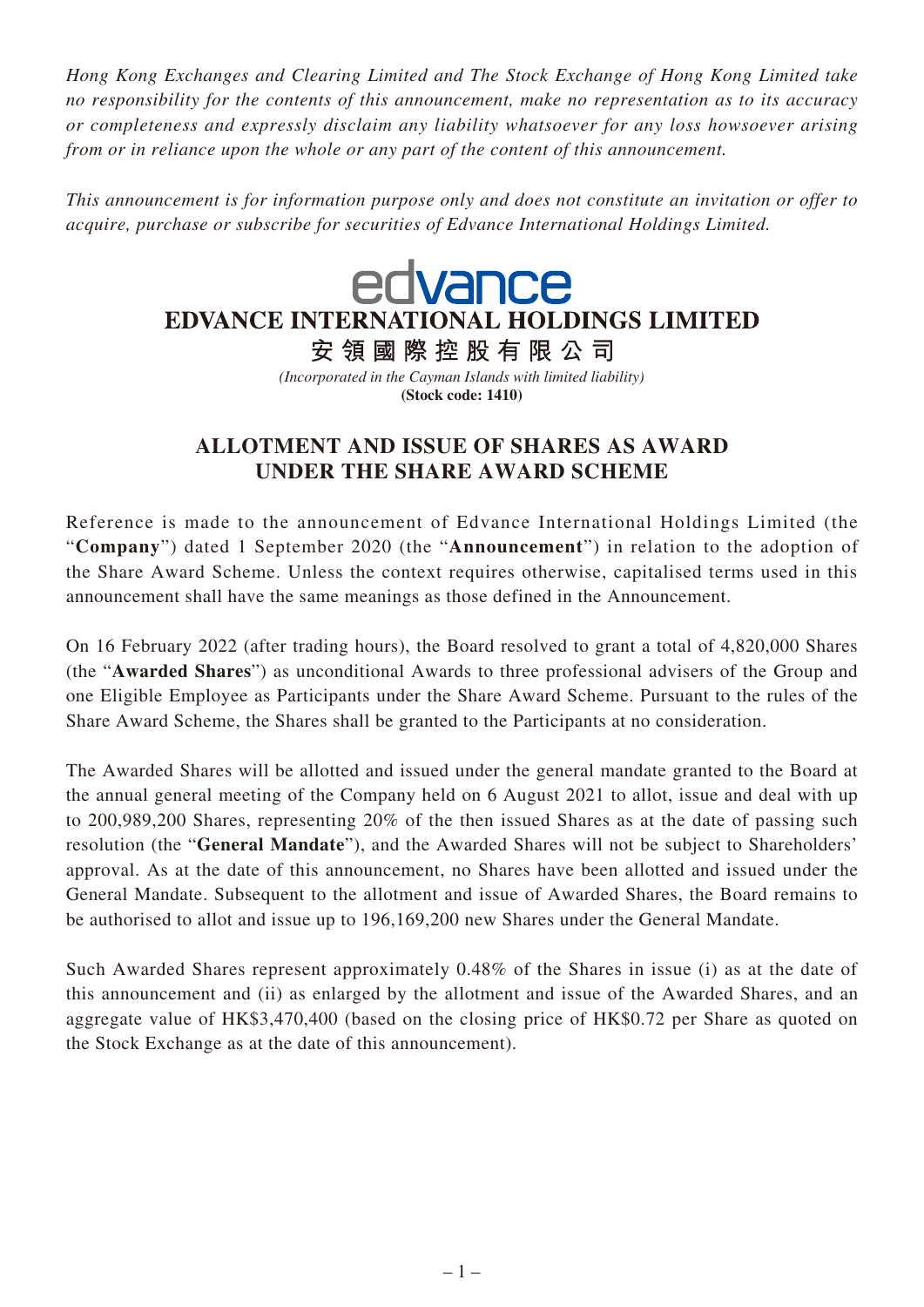*Hong Kong Exchanges and Clearing Limited and The Stock Exchange of Hong Kong Limited take no responsibility for the contents of this announcement, make no representation as to its accuracy or completeness and expressly disclaim any liability whatsoever for any loss howsoever arising from or in reliance upon the whole or any part of the content of this announcement.*

*This announcement is for information purpose only and does not constitute an invitation or offer to acquire, purchase or subscribe for securities of Edvance International Holdings Limited.*

## edvance EDVANCE INTERNATIONAL HOLDINGS LIMITED

安領國際控股有限公司 *(Incorporated in the Cayman Islands with limited liability)*

**(Stock code: 1410)**

## **ALLOTMENT AND ISSUE OF SHARES AS AWARD UNDER THE SHARE AWARD SCHEME**

Reference is made to the announcement of Edvance International Holdings Limited (the "**Company**") dated 1 September 2020 (the "**Announcement**") in relation to the adoption of the Share Award Scheme. Unless the context requires otherwise, capitalised terms used in this announcement shall have the same meanings as those defined in the Announcement.

On 16 February 2022 (after trading hours), the Board resolved to grant a total of 4,820,000 Shares (the "**Awarded Shares**") as unconditional Awards to three professional advisers of the Group and one Eligible Employee as Participants under the Share Award Scheme. Pursuant to the rules of the Share Award Scheme, the Shares shall be granted to the Participants at no consideration.

The Awarded Shares will be allotted and issued under the general mandate granted to the Board at the annual general meeting of the Company held on 6 August 2021 to allot, issue and deal with up to 200,989,200 Shares, representing 20% of the then issued Shares as at the date of passing such resolution (the "**General Mandate**"), and the Awarded Shares will not be subject to Shareholders' approval. As at the date of this announcement, no Shares have been allotted and issued under the General Mandate. Subsequent to the allotment and issue of Awarded Shares, the Board remains to be authorised to allot and issue up to 196,169,200 new Shares under the General Mandate.

Such Awarded Shares represent approximately 0.48% of the Shares in issue (i) as at the date of this announcement and (ii) as enlarged by the allotment and issue of the Awarded Shares, and an aggregate value of HK\$3,470,400 (based on the closing price of HK\$0.72 per Share as quoted on the Stock Exchange as at the date of this announcement).